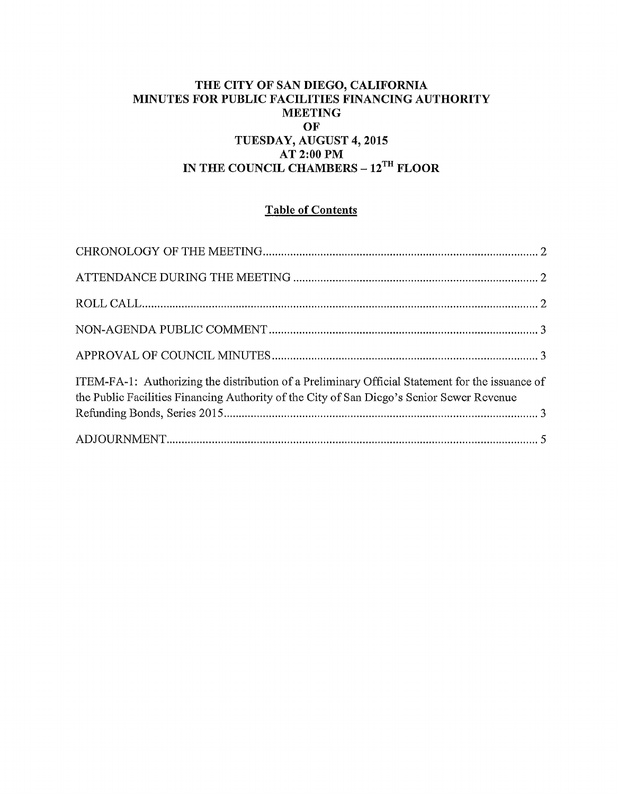## **THE CITY OF SAN DIEGO, CALIFORNIA MINUTES FOR PUBLIC FACILITIES FINANCING AUTHORITY MEETING OF TUESDAY, AUGUST 4, 2015 AT 2:00PM IN THE COUNCIL CHAMBERS- 12™ FLOOR**

# **Table of Contents**

| ITEM-FA-1: Authorizing the distribution of a Preliminary Official Statement for the issuance of<br>the Public Facilities Financing Authority of the City of San Diego's Senior Sewer Revenue |  |
|----------------------------------------------------------------------------------------------------------------------------------------------------------------------------------------------|--|
|                                                                                                                                                                                              |  |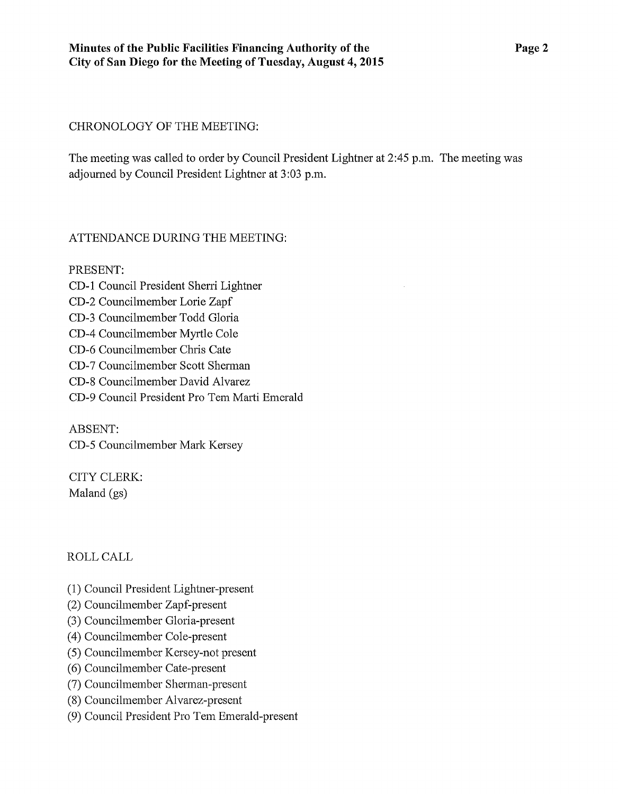### CHRONOLOGY OF THE MEETING:

The meeting was called to order by Council President Lightner at 2:45 p.m. The meeting was adjourned by Council President Lightner at 3:03 p.m.

## ATTENDANCE DURING THE MEETING:

PRESENT: CD-1 Council President Sherri Lightner CD-2 Councilmember Lorie Zapf CD-3 Councilmember Todd Gloria CD-4 Councilmember Myrtle Cole CD-6 Councilmember Chris Cate CD-7 Councilmember Scott Shennan CD-8 Councilmember David Alvarez CD-9 Council President Pro Tem Marti Emerald

ABSENT: CD-5 Councilmember Mark Kersey

CITY CLERK: Maland (gs)

## ROLLCALL

- (1) Council President Lightner-present
- (2) Councilmember Zapf-present
- (3) Councilmember Gloria-present
- (4) Councilmember Cole-present
- (5) Councilmember Kersey-not present
- (6) Councilmember Cate-present
- (7) Councilmember Sherman-present
- (8) Councilmember Alvarez-present
- (9) Council President Pro Tem Emerald-present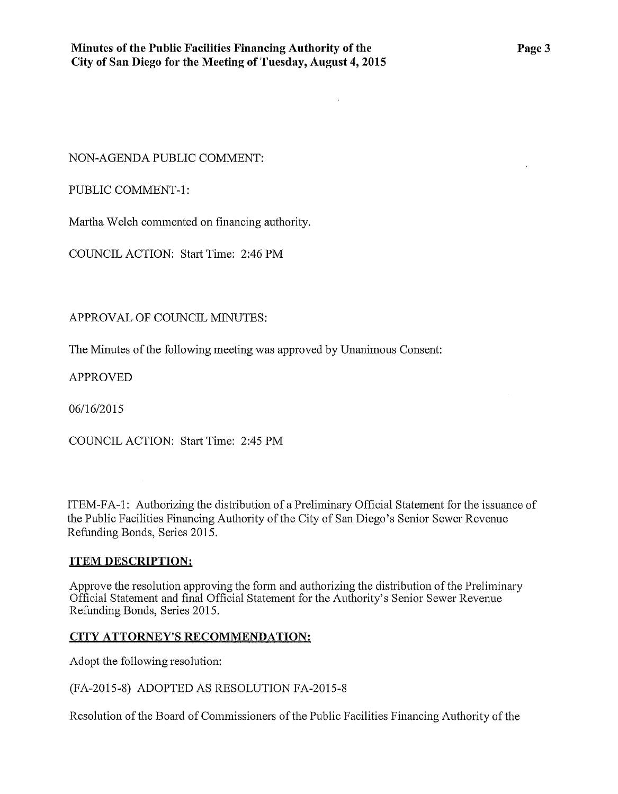$\mathcal{L}$ 

NON-AGENDA PUBLIC COMMENT:

PUBLIC COMMENT-1:

Martha Welch commented on financing authority.

COUNCIL ACTION: Start Time: 2:46PM

APPROVAL OF COUNCIL MINUTES:

The Minutes of the following meeting was approved by Unanimous Consent:

APPROVED

06/16/2015

COUNCIL ACTION: Start Time: 2:45 PM

ITEM-FA-1: Authorizing the distribution of a Preliminary Official Statement for the issuance of the Public Facilities Financing Authority of the City of San Diego's Senior Sewer Revenue Refunding Bonds, Series 2015.

#### **ITEM DESCRIPTION:**

Approve the resolution approving the form and authorizing the distribution of the Preliminary Official Statement and final Official Statement for the Authority's Senior Sewer Revenue Refunding Bonds, Series 2015.

## **CITY ATTORNEY'S RECOMMENDATION:**

Adopt the following resolution:

(FA-2015-8) ADOPTED AS RESOLUTION FA-2015-8

Resolution of the Board of Commissioners of the Public Facilities Financing Authority of the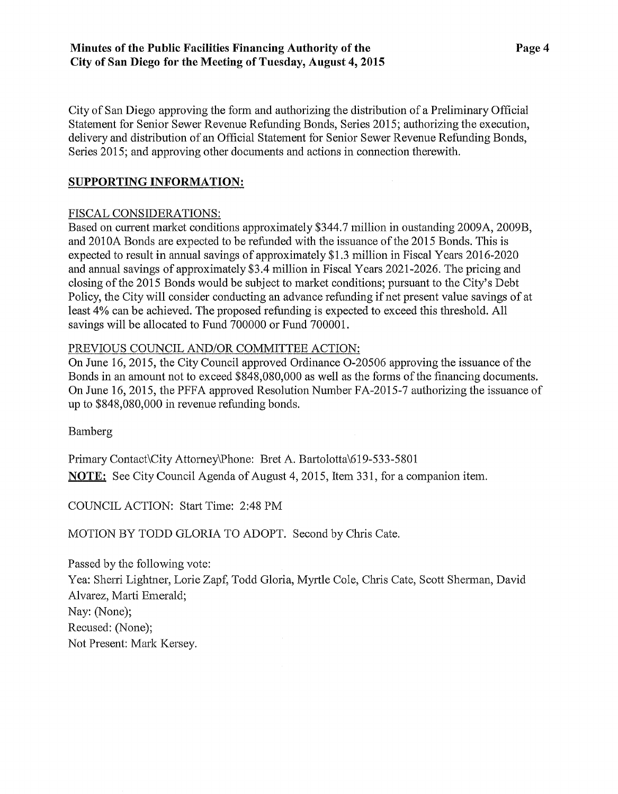City of San Diego approving the form and authorizing the distribution of a Preliminary Official Statement for Senior Sewer Revenue Refunding Bonds, Series 2015; authorizing the execution, delivery and distribution of an Official Statement for Senior Sewer Revenue Refunding Bonds, Series 2015; and approving other documents and actions in connection therewith.

#### **SUPPORTING INFORMATION:**

#### FISCAL CONSIDERATIONS:

Based on current market conditions approximately \$344.7 million in oustanding 2009A, 2009B, and 2010A Bonds are expected to be refunded with the issuance of the 2015 Bonds. This is expected to result in annual savings of approximately \$1.3 million in Fiscal Years 2016-2020 and annual savings of approximately \$3.4 million in Fiscal Years 2021-2026. The pricing and closing of the 2015 Bonds would be subject to market conditions; pursuant to the City's Debt Policy, the City will consider conducting an advance refunding if net present value savings of at least 4% can be achieved. The proposed refunding is expected to exceed this threshold. All savings will be allocated to Fund 700000 or Fund 700001.

#### PREVIOUS COUNCIL AND/OR COMMITTEE ACTION:

On June 16, 2015, the City Council approved Ordinance 0-20506 approving the issuance of the Bonds in an amount not to exceed \$848,080,000 as well as the forms of the financing documents. On June 16,2015, the PFFA approved Resolution Number FA-2015-7 authorizing the issuance of up to \$848,080,000 in revenue refunding bonds.

Bamberg

Primary Contact\City Attomey\Phone: Bret A. Bartolotta\619-533-5801 **NOTE:** See City Council Agenda of August 4, 2015, Item 331, for a companion item.

COUNCIL ACTION: Start Time: 2:48 PM

MOTION BY TODD GLORIA TO ADOPT. Second by Chris Cate.

Passed by the following vote: Yea: Sherri Lightner, Lorie Zapf, Todd Gloria, Myrtle Cole, Chris Cate, Scott Sherman, David Alvarez, Marti Emerald; Nay: (None); Recused: (None); Not Present: Mark Kersey.